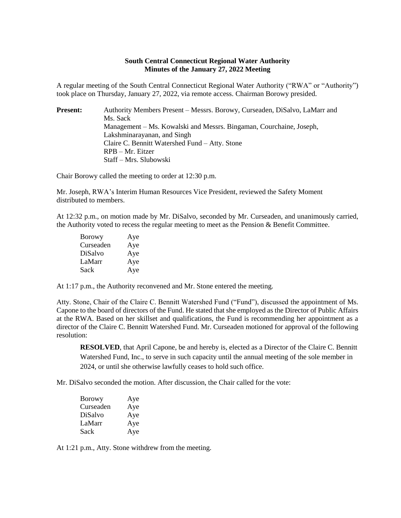## **South Central Connecticut Regional Water Authority Minutes of the January 27, 2022 Meeting**

A regular meeting of the South Central Connecticut Regional Water Authority ("RWA" or "Authority") took place on Thursday, January 27, 2022, via remote access. Chairman Borowy presided.

| <b>Present:</b> | Authority Members Present – Messrs. Borowy, Curseaden, DiSalvo, LaMarr and |
|-----------------|----------------------------------------------------------------------------|
|                 | Ms. Sack                                                                   |
|                 | Management – Ms. Kowalski and Messrs. Bingaman, Courchaine, Joseph,        |
|                 | Lakshminarayanan, and Singh                                                |
|                 | Claire C. Bennitt Watershed Fund – Atty. Stone                             |
|                 | $RPB - Mr. Eitzer$                                                         |
|                 | Staff – Mrs. Slubowski                                                     |

Chair Borowy called the meeting to order at 12:30 p.m.

Mr. Joseph, RWA's Interim Human Resources Vice President, reviewed the Safety Moment distributed to members.

At 12:32 p.m., on motion made by Mr. DiSalvo, seconded by Mr. Curseaden, and unanimously carried, the Authority voted to recess the regular meeting to meet as the Pension & Benefit Committee.

| <b>Borowy</b> | Aye |
|---------------|-----|
| Curseaden     | Aye |
| DiSalvo       | Aye |
| LaMarr        | Aye |
| Sack          | Aye |

At 1:17 p.m., the Authority reconvened and Mr. Stone entered the meeting.

Atty. Stone, Chair of the Claire C. Bennitt Watershed Fund ("Fund"), discussed the appointment of Ms. Capone to the board of directors of the Fund. He stated that she employed as the Director of Public Affairs at the RWA. Based on her skillset and qualifications, the Fund is recommending her appointment as a director of the Claire C. Bennitt Watershed Fund. Mr. Curseaden motioned for approval of the following resolution:

**RESOLVED**, that April Capone, be and hereby is, elected as a Director of the Claire C. Bennitt Watershed Fund, Inc., to serve in such capacity until the annual meeting of the sole member in 2024, or until she otherwise lawfully ceases to hold such office.

Mr. DiSalvo seconded the motion. After discussion, the Chair called for the vote:

| <b>Borowy</b> | Aye |
|---------------|-----|
| Curseaden     | Aye |
| DiSalvo       | Aye |
| LaMarr        | Aye |
| Sack          | Aye |

At 1:21 p.m., Atty. Stone withdrew from the meeting.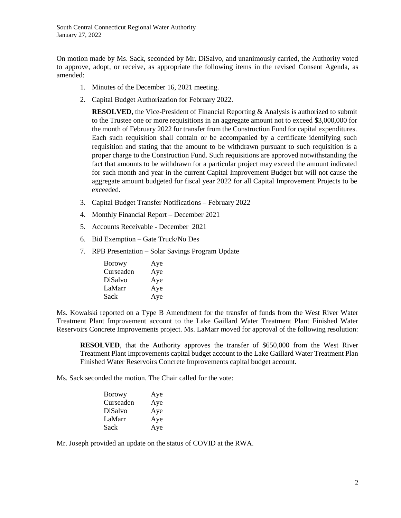On motion made by Ms. Sack, seconded by Mr. DiSalvo, and unanimously carried, the Authority voted to approve, adopt, or receive, as appropriate the following items in the revised Consent Agenda, as amended:

- 1. Minutes of the December 16, 2021 meeting.
- 2. Capital Budget Authorization for February 2022.

**RESOLVED**, the Vice-President of Financial Reporting & Analysis is authorized to submit to the Trustee one or more requisitions in an aggregate amount not to exceed \$3,000,000 for the month of February 2022 for transfer from the Construction Fund for capital expenditures. Each such requisition shall contain or be accompanied by a certificate identifying such requisition and stating that the amount to be withdrawn pursuant to such requisition is a proper charge to the Construction Fund. Such requisitions are approved notwithstanding the fact that amounts to be withdrawn for a particular project may exceed the amount indicated for such month and year in the current Capital Improvement Budget but will not cause the aggregate amount budgeted for fiscal year 2022 for all Capital Improvement Projects to be exceeded.

- 3. Capital Budget Transfer Notifications February 2022
- 4. Monthly Financial Report December 2021
- 5. Accounts Receivable December 2021
- 6. Bid Exemption Gate Truck/No Des
- 7. RPB Presentation Solar Savings Program Update

| <b>Borowy</b> | Aye |
|---------------|-----|
| Curseaden     | Aye |
| DiSalvo       | Aye |
| LaMarr        | Aye |
| Sack          | Aye |

Ms. Kowalski reported on a Type B Amendment for the transfer of funds from the West River Water Treatment Plant Improvement account to the Lake Gaillard Water Treatment Plant Finished Water Reservoirs Concrete Improvements project. Ms. LaMarr moved for approval of the following resolution:

**RESOLVED**, that the Authority approves the transfer of \$650,000 from the West River Treatment Plant Improvements capital budget account to the Lake Gaillard Water Treatment Plan Finished Water Reservoirs Concrete Improvements capital budget account.

Ms. Sack seconded the motion. The Chair called for the vote:

| Borowy    | Aye |
|-----------|-----|
| Curseaden | Aye |
| DiSalvo   | Aye |
| LaMarr    | Aye |
| Sack      | Aye |

Mr. Joseph provided an update on the status of COVID at the RWA.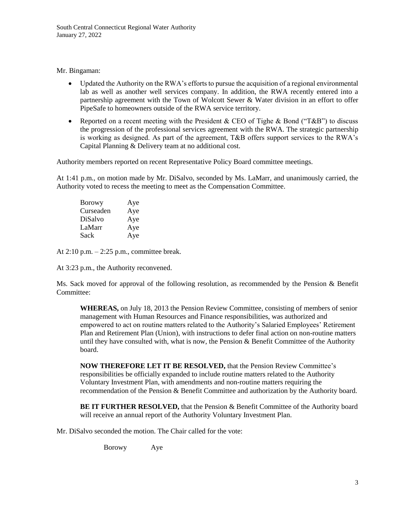Mr. Bingaman:

- Updated the Authority on the RWA's efforts to pursue the acquisition of a regional environmental lab as well as another well services company. In addition, the RWA recently entered into a partnership agreement with the Town of Wolcott Sewer & Water division in an effort to offer PipeSafe to homeowners outside of the RWA service territory.
- Reported on a recent meeting with the President & CEO of Tighe & Bond ("T&B") to discuss the progression of the professional services agreement with the RWA. The strategic partnership is working as designed. As part of the agreement, T&B offers support services to the RWA's Capital Planning & Delivery team at no additional cost.

Authority members reported on recent Representative Policy Board committee meetings.

At 1:41 p.m., on motion made by Mr. DiSalvo, seconded by Ms. LaMarr, and unanimously carried, the Authority voted to recess the meeting to meet as the Compensation Committee.

Borowy Aye Curseaden Aye DiSalvo Aye LaMarr Aye Sack Aye

At  $2:10$  p.m.  $-2:25$  p.m., committee break.

At 3:23 p.m., the Authority reconvened.

Ms. Sack moved for approval of the following resolution, as recommended by the Pension & Benefit Committee:

**WHEREAS,** on July 18, 2013 the Pension Review Committee, consisting of members of senior management with Human Resources and Finance responsibilities, was authorized and empowered to act on routine matters related to the Authority's Salaried Employees' Retirement Plan and Retirement Plan (Union), with instructions to defer final action on non-routine matters until they have consulted with, what is now, the Pension  $\&$  Benefit Committee of the Authority board.

**NOW THEREFORE LET IT BE RESOLVED,** that the Pension Review Committee's responsibilities be officially expanded to include routine matters related to the Authority Voluntary Investment Plan, with amendments and non-routine matters requiring the recommendation of the Pension & Benefit Committee and authorization by the Authority board.

**BE IT FURTHER RESOLVED,** that the Pension & Benefit Committee of the Authority board will receive an annual report of the Authority Voluntary Investment Plan.

Mr. DiSalvo seconded the motion. The Chair called for the vote:

Borowy Aye